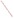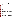# **Technical Factsheet on: DALAPON**

# [List of Contaminants](http://www.epa.gov/safewater/hfacts.html)

 As part of the Drinking Water and Health pages, this fact sheet is part of a larger publication: **National Primary Drinking Water Regulations** 

 MCL: 0.2 mg/L Drinking Water Standards MCLG: 0.2 mg/L HAL(child): 1- to 10-day: 3 mg/L; longer-term: 0.3 mg/L

### **Health Effects Summary**

 levels above the MCL: no effects, but readily absorbed into and widely distributed throughout the body. Acute: EPA has found dalapon to potentially cause the following health effects from acute exposures at

 consuming 1 liter of water per day, up to a ten-day exposure to 3 mg/L or up to a 7-year exposure to 0.3 Drinking water levels which are considered "safe" for short-term exposures: For a 10-kg (22 lb.) child mg/L.

 levels above the MCL: increased kidney-to-body weight. Chronic: Dalapon has the potential to cause the following health effects from long-term exposures at

 Cancer: There is inadequate evidence to state whether or not dalapon has the potential to cause cancer from lifetime exposure in drinking water.

### **Usage Patterns**

 Dalapon is a herbicide used to control grasses in a wide variety of crops, including fruit trees, beans, coffee, corn, cotton and peas. It is also registered for use in a number of non-crop applications such as lawns, drainage ditches, along railroad tracks, and in industrial areas. Dalapon is marketed as the sodium salt or as a mixture of the sodium and magnesium salts.

Domestic production of dalapon in 1982 ranged between 7 and 9 million lbs. active ingredient. In 1984, its use in California was reported as follows: Non-food use, 92.9% (89.9% use on rights of way); main food crop treated was sugarbeet (6.7% of total).

### **Release Patterns**

 Dalapon is released directly to the environment in its use as a herbicide for the control of annual and perennial grasses.

 Since dalapon is not a listed chemical in the Toxics Release Inventory, data on releases during its manufacture and handling are not available.

### **Environmental Fate**

If released to soil, microbial degradation and leaching appear to be the important environmental fate processes. Dalapon leaches readily in soil; however, under conditions favorable for microbial growth, microbial degradation will probably proceed at a faster rate than leaching. In the absence of microbial action, dalapon degradation in soil is slow. The resultant average persistence of dalapon at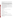forests and tree nurseries. recommended rates of application has been reported to be two to four weeks in most agricultural soils during the growing season, although a persistence of six months has been observed in soils of various

 removal of dalapon. The hydrolysis half-life of dalapon and its salts in water is on the order of several If released to water, microbial degradation, hydrolysis, and photolysis are potentially important in the months at temperatures less than 25 deg C, with the hydrolysis forming pyruvic acid. Under conditions favorable for microbial growth, dalapon decomposition via microorganisms will probably be complete within one month which will diminish the importance of chemical hydrolysis. Direct photolysis in water may be possible, although photolytic rates have not been investigated under environmental conditions. Aquatic volatilization and adsorption to sediments are not expected to be significant.

 hydroxyl radicals at an estimated half-life rate of 72.3 days. Atmospheric removal via washout may be If released to the atmosphere, dalapon will react in the vapor-phase with photochemically produced possible since dalapon is extremely water soluble.

Bioconcentration is not expected to be significant. The BCF measured for dalapon (sodium salt) during a 3-day exposure in an aquarium was 3 for fish and less than one for snails. BCF's of less than one have been measured for poultry, rodents, dogs, and cows.

Occupational exposure to dalapon may occur through dermal and inhalation routes associated with the formulation and application of dalapon herbicide.

### **Chemical/ Physical Properties**

CAS Number: 75-99-0

Color/ Form/Odor: Colorless liquid with an acrid odor; sold as sodium or magnesium salt

M.P.: 20 C B.P.: 190 C

Vapor Pressure: N/A

Vapor Pressure: N/A<br>Octanol/Water Partition (Kow): Log Kow = 0.778<br>Density/Spec. Grav.: 1.4 at 15 C

Density/Spec. Grav.: 1.4 at 15 C

Solubility: 800 g/L of water at 25 C; Very soluble in water

Soil sorption coefficient: Koc N/A; very high mobility in soil

Odor/Taste Thresholds: N/A

Bioconcentration Factor: BCF =1 to 3; not expected to bioconcentrate in aquatic organisms.

Henry's Law Coefficient: 6.3x10-8 atm-cu m/mole

Trade Names/Synonyms: 2,2-dichloro-proprionic acid; 2,2-DPA; Revenge; Alatex; Basfapon; Basinex; Crisapon; Dawpon-RAE; Ded-Weed; Dowpon; Gramevin; Kenapon; Liropon; Propon; Radapon; Unipon; S-1315; S-95

#### **Other Regulatory Information**